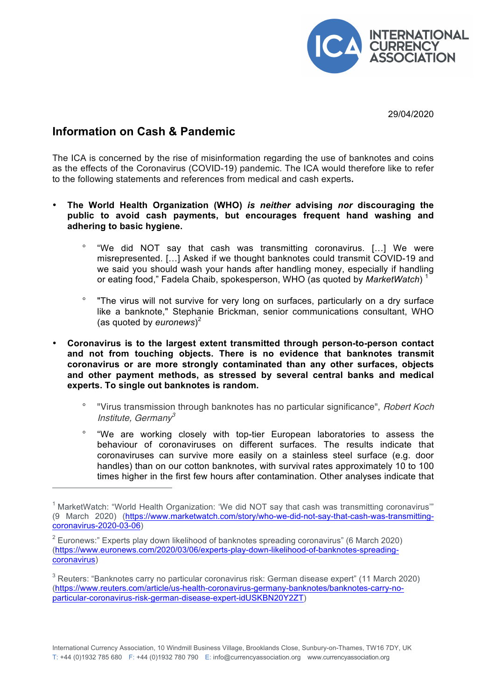

29/04/2020

## **Information on Cash & Pandemic**

 $\overline{a}$ 

The ICA is concerned by the rise of misinformation regarding the use of banknotes and coins as the effects of the Coronavirus (COVID-19) pandemic. The ICA would therefore like to refer to the following statements and references from medical and cash experts**.** 

- **The World Health Organization (WHO)** *is neither* **advising** *nor* **discouraging the public to avoid cash payments, but encourages frequent hand washing and adhering to basic hygiene.**
	- ° "We did NOT say that cash was transmitting coronavirus. […] We were misrepresented. […] Asked if we thought banknotes could transmit COVID-19 and we said you should wash your hands after handling money, especially if handling or eating food," Fadela Chaib, spokesperson, WHO (as quoted by *MarketWatch*) <sup>1</sup>
	- ° "The virus will not survive for very long on surfaces, particularly on a dry surface like a banknote," Stephanie Brickman, senior communications consultant, WHO (as quoted by *euronews*) 2
- **Coronavirus is to the largest extent transmitted through person-to-person contact and not from touching objects. There is no evidence that banknotes transmit coronavirus or are more strongly contaminated than any other surfaces, objects and other payment methods, as stressed by several central banks and medical experts. To single out banknotes is random.**
	- ° "Virus transmission through banknotes has no particular significance", Robert Koch Institute, German $v^3$
	- ° "We are working closely with top-tier European laboratories to assess the behaviour of coronaviruses on different surfaces. The results indicate that coronaviruses can survive more easily on a stainless steel surface (e.g. door handles) than on our cotton banknotes, with survival rates approximately 10 to 100 times higher in the first few hours after contamination. Other analyses indicate that

 $1$  MarketWatch: "World Health Organization: 'We did NOT say that cash was transmitting coronavirus'" (9 March 2020) (https://www.marketwatch.com/story/who-we-did-not-say-that-cash-was-transmittingcoronavirus-2020-03-06)

 $2$  Euronews:" Experts play down likelihood of banknotes spreading coronavirus" (6 March 2020) (https://www.euronews.com/2020/03/06/experts-play-down-likelihood-of-banknotes-spreadingcoronavirus)

 $3$  Reuters: "Banknotes carry no particular coronavirus risk: German disease expert" (11 March 2020) (https://www.reuters.com/article/us-health-coronavirus-germany-banknotes/banknotes-carry-noparticular-coronavirus-risk-german-disease-expert-idUSKBN20Y2ZT)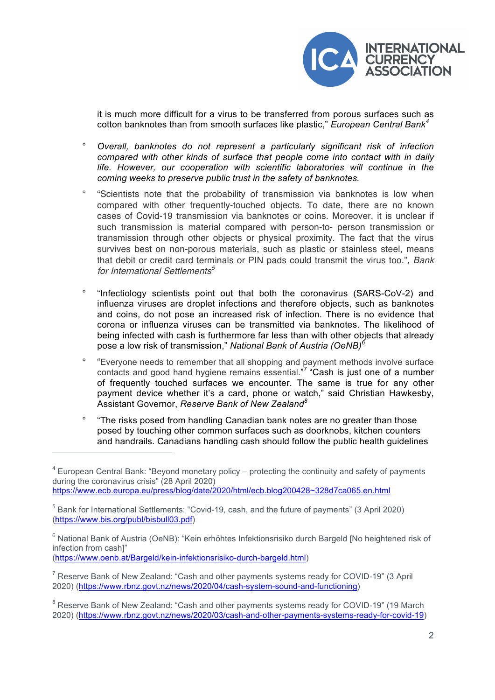

it is much more difficult for a virus to be transferred from porous surfaces such as cotton banknotes than from smooth surfaces like plastic," *European Central Bank<sup>4</sup>*

- ° *Overall, banknotes do not represent a particularly significant risk of infection compared with other kinds of surface that people come into contact with in daily life. However, our cooperation with scientific laboratories will continue in the coming weeks to preserve public trust in the safety of banknotes.*
- ° "Scientists note that the probability of transmission via banknotes is low when compared with other frequently-touched objects. To date, there are no known cases of Covid-19 transmission via banknotes or coins. Moreover, it is unclear if such transmission is material compared with person-to- person transmission or transmission through other objects or physical proximity. The fact that the virus survives best on non-porous materials, such as plastic or stainless steel, means that debit or credit card terminals or PIN pads could transmit the virus too.", Bank for International Settlements<sup>5</sup>
- ° "Infectiology scientists point out that both the coronavirus (SARS-CoV-2) and influenza viruses are droplet infections and therefore objects, such as banknotes and coins, do not pose an increased risk of infection. There is no evidence that corona or influenza viruses can be transmitted via banknotes. The likelihood of being infected with cash is furthermore far less than with other objects that already pose a low risk of transmission," *National Bank of Austria (OeNB)<sup>6</sup>*
- ° "Everyone needs to remember that all shopping and payment methods involve surface contacts and good hand hygiene remains essential."<sup>7</sup> "Cash is just one of a number of frequently touched surfaces we encounter. The same is true for any other payment device whether it's a card, phone or watch," said Christian Hawkesby, Assistant Governor, *Reserve Bank of New Zealand<sup>8</sup>*
- ° "The risks posed from handling Canadian bank notes are no greater than those posed by touching other common surfaces such as doorknobs, kitchen counters and handrails. Canadians handling cash should follow the public health guidelines

(https://www.oenb.at/Bargeld/kein-infektionsrisiko-durch-bargeld.html)

-

<sup>8</sup> Reserve Bank of New Zealand: "Cash and other payments systems ready for COVID-19" (19 March 2020) (https://www.rbnz.govt.nz/news/2020/03/cash-and-other-payments-systems-ready-for-covid-19)

 $4$  European Central Bank: "Beyond monetary policy – protecting the continuity and safety of payments during the coronavirus crisis" (28 April 2020) https://www.ecb.europa.eu/press/blog/date/2020/html/ecb.blog200428~328d7ca065.en.html

 $5$  Bank for International Settlements: "Covid-19, cash, and the future of payments" (3 April 2020) (https://www.bis.org/publ/bisbull03.pdf)

<sup>&</sup>lt;sup>6</sup> National Bank of Austria (OeNB): "Kein erhöhtes Infektionsrisiko durch Bargeld [No heightened risk of infection from cash]"

 $7$  Reserve Bank of New Zealand: "Cash and other payments systems ready for COVID-19" (3 April 2020) (https://www.rbnz.govt.nz/news/2020/04/cash-system-sound-and-functioning)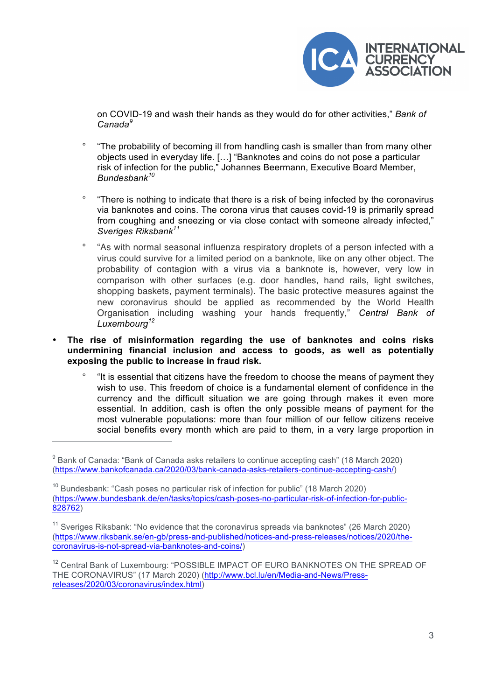

on COVID-19 and wash their hands as they would do for other activities," *Bank of Canada<sup>9</sup>*

- ° "The probability of becoming ill from handling cash is smaller than from many other objects used in everyday life. […] "Banknotes and coins do not pose a particular risk of infection for the public," Johannes Beermann, Executive Board Member, *Bundesbank10*
- ° "There is nothing to indicate that there is a risk of being infected by the coronavirus via banknotes and coins. The corona virus that causes covid-19 is primarily spread from coughing and sneezing or via close contact with someone already infected," *Sveriges Riksbank<sup>11</sup>*
- ° "As with normal seasonal influenza respiratory droplets of a person infected with a virus could survive for a limited period on a banknote, like on any other object. The probability of contagion with a virus via a banknote is, however, very low in comparison with other surfaces (e.g. door handles, hand rails, light switches, shopping baskets, payment terminals). The basic protective measures against the new coronavirus should be applied as recommended by the World Health Organisation including washing your hands frequently," *Central Bank of Luxembourg<sup>12</sup>*
- **The rise of misinformation regarding the use of banknotes and coins risks undermining financial inclusion and access to goods, as well as potentially exposing the public to increase in fraud risk.**
	- ° "It is essential that citizens have the freedom to choose the means of payment they wish to use. This freedom of choice is a fundamental element of confidence in the currency and the difficult situation we are going through makes it even more essential. In addition, cash is often the only possible means of payment for the most vulnerable populations: more than four million of our fellow citizens receive social benefits every month which are paid to them, in a very large proportion in

 $\overline{a}$ 

 $9$  Bank of Canada: "Bank of Canada asks retailers to continue accepting cash" (18 March 2020) (https://www.bankofcanada.ca/2020/03/bank-canada-asks-retailers-continue-accepting-cash/)

 $10$  Bundesbank: "Cash poses no particular risk of infection for public" (18 March 2020) (https://www.bundesbank.de/en/tasks/topics/cash-poses-no-particular-risk-of-infection-for-public-828762)

 $11$  Sveriges Riksbank: "No evidence that the coronavirus spreads via banknotes" (26 March 2020) (https://www.riksbank.se/en-gb/press-and-published/notices-and-press-releases/notices/2020/thecoronavirus-is-not-spread-via-banknotes-and-coins/)

<sup>&</sup>lt;sup>12</sup> Central Bank of Luxembourg: "POSSIBLE IMPACT OF EURO BANKNOTES ON THE SPREAD OF THE CORONAVIRUS" (17 March 2020) (http://www.bcl.lu/en/Media-and-News/Pressreleases/2020/03/coronavirus/index.html)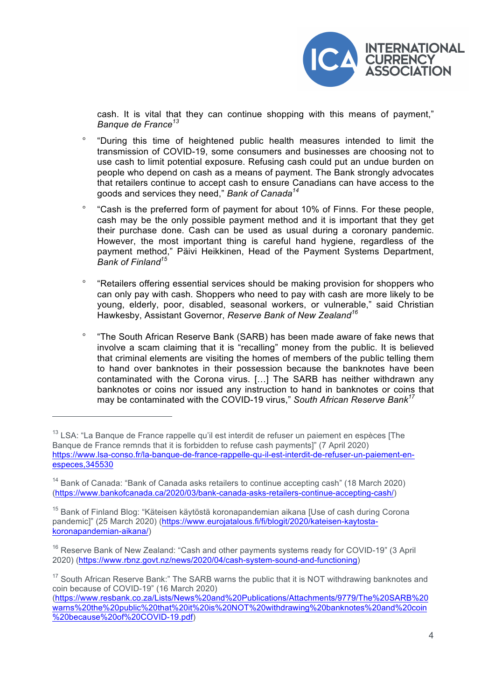

cash. It is vital that they can continue shopping with this means of payment," *Banque de France<sup>13</sup>*

- ° "During this time of heightened public health measures intended to limit the transmission of COVID-19, some consumers and businesses are choosing not to use cash to limit potential exposure. Refusing cash could put an undue burden on people who depend on cash as a means of payment. The Bank strongly advocates that retailers continue to accept cash to ensure Canadians can have access to the goods and services they need," *Bank of Canada<sup>14</sup>*
- ° "Cash is the preferred form of payment for about 10% of Finns. For these people, cash may be the only possible payment method and it is important that they get their purchase done. Cash can be used as usual during a coronary pandemic. However, the most important thing is careful hand hygiene, regardless of the payment method," Päivi Heikkinen, Head of the Payment Systems Department, *Bank of Finland15*
- ° "Retailers offering essential services should be making provision for shoppers who can only pay with cash. Shoppers who need to pay with cash are more likely to be young, elderly, poor, disabled, seasonal workers, or vulnerable," said Christian Hawkesby, Assistant Governor, *Reserve Bank of New Zealand<sup>16</sup>*
- ° "The South African Reserve Bank (SARB) has been made aware of fake news that involve a scam claiming that it is "recalling" money from the public. It is believed that criminal elements are visiting the homes of members of the public telling them to hand over banknotes in their possession because the banknotes have been contaminated with the Corona virus. […] The SARB has neither withdrawn any banknotes or coins nor issued any instruction to hand in banknotes or coins that may be contaminated with the COVID-19 virus," *South African Reserve Bank<sup>17</sup>*

 $\overline{a}$ 

 $13$  LSA: "La Banque de France rappelle qu'il est interdit de refuser un paiement en espèces [The Banque de France remnds that it is forbidden to refuse cash payments]" (7 April 2020) https://www.lsa-conso.fr/la-banque-de-france-rappelle-qu-il-est-interdit-de-refuser-un-paiement-enespeces,345530

 $14$  Bank of Canada: "Bank of Canada asks retailers to continue accepting cash" (18 March 2020) (https://www.bankofcanada.ca/2020/03/bank-canada-asks-retailers-continue-accepting-cash/)

<sup>&</sup>lt;sup>15</sup> Bank of Finland Blog: "Käteisen käytöstä koronapandemian aikana [Use of cash during Corona pandemic]" (25 March 2020) (https://www.eurojatalous.fi/fi/blogit/2020/kateisen-kaytostakoronapandemian-aikana/)

 $16$  Reserve Bank of New Zealand: "Cash and other payments systems ready for COVID-19" (3 April 2020) (https://www.rbnz.govt.nz/news/2020/04/cash-system-sound-and-functioning)

 $17$  South African Reserve Bank:" The SARB warns the public that it is NOT withdrawing banknotes and coin because of COVID-19" (16 March 2020)

<sup>(</sup>https://www.resbank.co.za/Lists/News%20and%20Publications/Attachments/9779/The%20SARB%20 warns%20the%20public%20that%20it%20is%20NOT%20withdrawing%20banknotes%20and%20coin %20because%20of%20COVID-19.pdf)